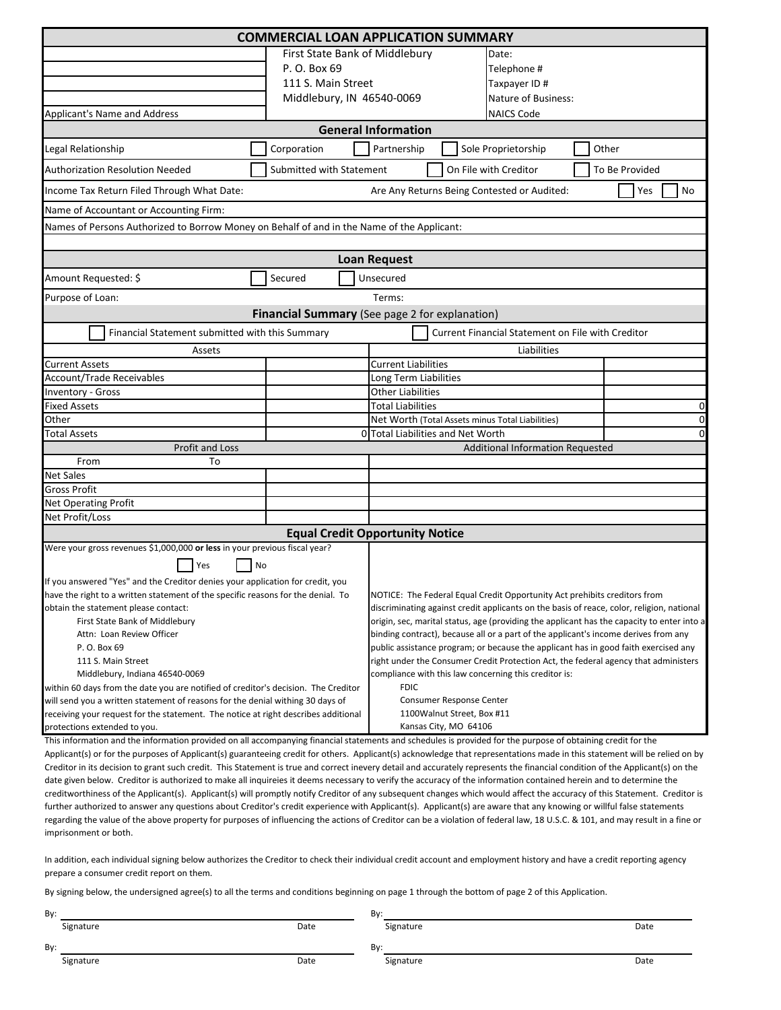| <b>COMMERCIAL LOAN APPLICATION SUMMARY</b>                                                                                                                                                                                                                                                                                                 |                                                            |                                                                                            |  |                                  |   |                |  |
|--------------------------------------------------------------------------------------------------------------------------------------------------------------------------------------------------------------------------------------------------------------------------------------------------------------------------------------------|------------------------------------------------------------|--------------------------------------------------------------------------------------------|--|----------------------------------|---|----------------|--|
|                                                                                                                                                                                                                                                                                                                                            | First State Bank of Middlebury                             |                                                                                            |  | Date:                            |   |                |  |
|                                                                                                                                                                                                                                                                                                                                            | P. O. Box 69                                               |                                                                                            |  | Telephone #                      |   |                |  |
|                                                                                                                                                                                                                                                                                                                                            | 111 S. Main Street                                         |                                                                                            |  | Taxpayer ID#                     |   |                |  |
|                                                                                                                                                                                                                                                                                                                                            | Middlebury, IN 46540-0069                                  | Nature of Business:                                                                        |  |                                  |   |                |  |
| Applicant's Name and Address                                                                                                                                                                                                                                                                                                               |                                                            | <b>NAICS Code</b>                                                                          |  |                                  |   |                |  |
| <b>General Information</b>                                                                                                                                                                                                                                                                                                                 |                                                            |                                                                                            |  |                                  |   |                |  |
| Legal Relationship                                                                                                                                                                                                                                                                                                                         | Corporation<br>Partnership<br>Sole Proprietorship<br>Other |                                                                                            |  |                                  |   |                |  |
| <b>Authorization Resolution Needed</b><br>Submitted with Statement<br>On File with Creditor                                                                                                                                                                                                                                                |                                                            |                                                                                            |  |                                  |   | To Be Provided |  |
| Are Any Returns Being Contested or Audited:<br>Yes<br>No<br>Income Tax Return Filed Through What Date:                                                                                                                                                                                                                                     |                                                            |                                                                                            |  |                                  |   |                |  |
| Name of Accountant or Accounting Firm:                                                                                                                                                                                                                                                                                                     |                                                            |                                                                                            |  |                                  |   |                |  |
| Names of Persons Authorized to Borrow Money on Behalf of and in the Name of the Applicant:                                                                                                                                                                                                                                                 |                                                            |                                                                                            |  |                                  |   |                |  |
|                                                                                                                                                                                                                                                                                                                                            |                                                            |                                                                                            |  |                                  |   |                |  |
|                                                                                                                                                                                                                                                                                                                                            |                                                            | <b>Loan Request</b>                                                                        |  |                                  |   |                |  |
| Amount Requested: \$                                                                                                                                                                                                                                                                                                                       | Secured                                                    | Unsecured                                                                                  |  |                                  |   |                |  |
| Purpose of Loan:                                                                                                                                                                                                                                                                                                                           |                                                            | Terms:                                                                                     |  |                                  |   |                |  |
| Financial Summary (See page 2 for explanation)                                                                                                                                                                                                                                                                                             |                                                            |                                                                                            |  |                                  |   |                |  |
| Financial Statement submitted with this Summary                                                                                                                                                                                                                                                                                            |                                                            |                                                                                            |  |                                  |   |                |  |
| Assets                                                                                                                                                                                                                                                                                                                                     |                                                            | Current Financial Statement on File with Creditor<br>Liabilities                           |  |                                  |   |                |  |
| <b>Current Assets</b>                                                                                                                                                                                                                                                                                                                      |                                                            | <b>Current Liabilities</b>                                                                 |  |                                  |   |                |  |
| <b>Account/Trade Receivables</b>                                                                                                                                                                                                                                                                                                           |                                                            | Long Term Liabilities                                                                      |  |                                  |   |                |  |
| <b>Inventory - Gross</b>                                                                                                                                                                                                                                                                                                                   |                                                            | <b>Other Liabilities</b>                                                                   |  |                                  |   |                |  |
| <b>Fixed Assets</b>                                                                                                                                                                                                                                                                                                                        |                                                            | <b>Total Liabilities</b><br>0                                                              |  |                                  |   |                |  |
| Other                                                                                                                                                                                                                                                                                                                                      |                                                            | Net Worth (Total Assets minus Total Liabilities)                                           |  |                                  | 0 |                |  |
| <b>Total Assets</b>                                                                                                                                                                                                                                                                                                                        |                                                            | 0 Total Liabilities and Net Worth<br>$\Omega$                                              |  |                                  |   |                |  |
| Profit and Loss                                                                                                                                                                                                                                                                                                                            |                                                            |                                                                                            |  | Additional Information Requested |   |                |  |
| From<br>To                                                                                                                                                                                                                                                                                                                                 |                                                            |                                                                                            |  |                                  |   |                |  |
| <b>Net Sales</b>                                                                                                                                                                                                                                                                                                                           |                                                            |                                                                                            |  |                                  |   |                |  |
| <b>Gross Profit</b>                                                                                                                                                                                                                                                                                                                        |                                                            |                                                                                            |  |                                  |   |                |  |
| Net Operating Profit                                                                                                                                                                                                                                                                                                                       |                                                            |                                                                                            |  |                                  |   |                |  |
| Net Profit/Loss                                                                                                                                                                                                                                                                                                                            |                                                            |                                                                                            |  |                                  |   |                |  |
|                                                                                                                                                                                                                                                                                                                                            | <b>Equal Credit Opportunity Notice</b>                     |                                                                                            |  |                                  |   |                |  |
| Were your gross revenues \$1,000,000 or less in your previous fiscal year?                                                                                                                                                                                                                                                                 |                                                            |                                                                                            |  |                                  |   |                |  |
| Yes<br>No                                                                                                                                                                                                                                                                                                                                  |                                                            |                                                                                            |  |                                  |   |                |  |
| If you answered "Yes" and the Creditor denies your application for credit, you                                                                                                                                                                                                                                                             |                                                            |                                                                                            |  |                                  |   |                |  |
| have the right to a written statement of the specific reasons for the denial. To                                                                                                                                                                                                                                                           |                                                            | NOTICE: The Federal Equal Credit Opportunity Act prehibits creditors from                  |  |                                  |   |                |  |
| obtain the statement please contact:                                                                                                                                                                                                                                                                                                       |                                                            | discriminating against credit applicants on the basis of reace, color, religion, national  |  |                                  |   |                |  |
| First State Bank of Middlebury                                                                                                                                                                                                                                                                                                             |                                                            | origin, sec, marital status, age (providing the applicant has the capacity to enter into a |  |                                  |   |                |  |
| Attn: Loan Review Officer                                                                                                                                                                                                                                                                                                                  |                                                            | binding contract), because all or a part of the applicant's income derives from any        |  |                                  |   |                |  |
| P. O. Box 69                                                                                                                                                                                                                                                                                                                               |                                                            | public assistance program; or because the applicant has in good faith exercised any        |  |                                  |   |                |  |
| 111 S. Main Street                                                                                                                                                                                                                                                                                                                         |                                                            | right under the Consumer Credit Protection Act, the federal agency that administers        |  |                                  |   |                |  |
| Middlebury, Indiana 46540-0069                                                                                                                                                                                                                                                                                                             |                                                            | compliance with this law concerning this creditor is:                                      |  |                                  |   |                |  |
| within 60 days from the date you are notified of creditor's decision. The Creditor                                                                                                                                                                                                                                                         |                                                            | <b>FDIC</b>                                                                                |  |                                  |   |                |  |
| will send you a written statement of reasons for the denial withing 30 days of                                                                                                                                                                                                                                                             |                                                            | Consumer Response Center                                                                   |  |                                  |   |                |  |
| receiving your request for the statement. The notice at right describes additional                                                                                                                                                                                                                                                         |                                                            | 1100Walnut Street, Box #11<br>Kansas City, MO 64106                                        |  |                                  |   |                |  |
| protections extended to you.                                                                                                                                                                                                                                                                                                               |                                                            |                                                                                            |  |                                  |   |                |  |
| This information and the information provided on all accompanying financial statements and schedules is provided for the purpose of obtaining credit for the<br>Applicant(s) or for the nurnoses of Applicant(s) guaranteeing credit for others. Applicant(s) acknowledge that representations made in this statement will be relied on by |                                                            |                                                                                            |  |                                  |   |                |  |

Applicant(s) or for the purposes of Applicant(s) guaranteeing credit for others. Applicant(s) acknowledge that representations made in this statement will be relied on by Creditor in its decision to grant such credit. This Statement is true and correct inevery detail and accurately represents the financial condition of the Applicant(s) on the date given below. Creditor is authorized to make all inquireies it deems necessary to verify the accuracy of the information contained herein and to determine the creditworthiness of the Applicant(s). Applicant(s) will promptly notify Creditor of any subsequent changes which would affect the accuracy of this Statement. Creditor is further authorized to answer any questions about Creditor's credit experience with Applicant(s). Applicant(s) are aware that any knowing or willful false statements regarding the value of the above property for purposes of influencing the actions of Creditor can be a violation of federal law, 18 U.S.C. & 101, and may result in a fine or imprisonment or both.

In addition, each individual signing below authorizes the Creditor to check their individual credit account and employment history and have a credit reporting agency prepare a consumer credit report on them.

By signing below, the undersigned agree(s) to all the terms and conditions beginning on page 1 through the bottom of page 2 of this Application.

| By:       |      | By:       |      |
|-----------|------|-----------|------|
| Signature | Date | Signature | Date |
| By:       |      | Bv:       |      |
| Signature | Date | Signature | Date |